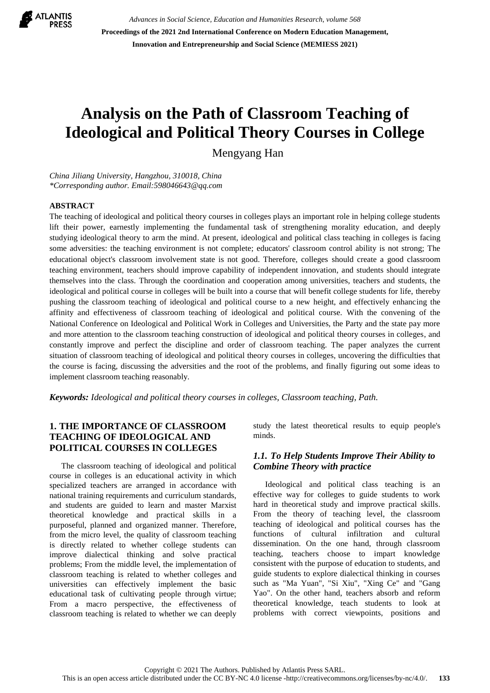

*Advances in Social Science, Education and Humanities Research, volume 568* **Proceedings of the 2021 2nd International Conference on Modern Education Management, Innovation and Entrepreneurship and Social Science (MEMIESS 2021)**

# **Analysis on the Path of Classroom Teaching of Ideological and Political Theory Courses in College**

Mengyang Han

*China Jiliang University, Hangzhou, 310018, China \*Corresponding author. Email:598046643@qq.com*

#### **ABSTRACT**

The teaching of ideological and political theory courses in colleges plays an important role in helping college students lift their power, earnestly implementing the fundamental task of strengthening morality education, and deeply studying ideological theory to arm the mind. At present, ideological and political class teaching in colleges is facing some adversities: the teaching environment is not complete; educators' classroom control ability is not strong; The educational object's classroom involvement state is not good. Therefore, colleges should create a good classroom teaching environment, teachers should improve capability of independent innovation, and students should integrate themselves into the class. Through the coordination and cooperation among universities, teachers and students, the ideological and political course in colleges will be built into a course that will benefit college students for life, thereby pushing the classroom teaching of ideological and political course to a new height, and effectively enhancing the affinity and effectiveness of classroom teaching of ideological and political course. With the convening of the National Conference on Ideological and Political Work in Colleges and Universities, the Party and the state pay more and more attention to the classroom teaching construction of ideological and political theory courses in colleges, and constantly improve and perfect the discipline and order of classroom teaching. The paper analyzes the current situation of classroom teaching of ideological and political theory courses in colleges, uncovering the difficulties that the course is facing, discussing the adversities and the root of the problems, and finally figuring out some ideas to implement classroom teaching reasonably.

*Keywords: Ideological and political theory courses in colleges, Classroom teaching, Path.*

## **1. THE IMPORTANCE OF CLASSROOM TEACHING OF IDEOLOGICAL AND POLITICAL COURSES IN COLLEGES**

The classroom teaching of ideological and political course in colleges is an educational activity in which specialized teachers are arranged in accordance with national training requirements and curriculum standards, and students are guided to learn and master Marxist theoretical knowledge and practical skills in a purposeful, planned and organized manner. Therefore, from the micro level, the quality of classroom teaching is directly related to whether college students can improve dialectical thinking and solve practical problems; From the middle level, the implementation of classroom teaching is related to whether colleges and universities can effectively implement the basic educational task of cultivating people through virtue; From a macro perspective, the effectiveness of classroom teaching is related to whether we can deeply

study the latest theoretical results to equip people's minds.

#### *1.1. To Help Students Improve Their Ability to Combine Theory with practice*

Ideological and political class teaching is an effective way for colleges to guide students to work hard in theoretical study and improve practical skills. From the theory of teaching level, the classroom teaching of ideological and political courses has the functions of cultural infiltration and cultural dissemination. On the one hand, through classroom teaching, teachers choose to impart knowledge consistent with the purpose of education to students, and guide students to explore dialectical thinking in courses such as "Ma Yuan", "Si Xiu", "Xing Ce" and "Gang Yao". On the other hand, teachers absorb and reform theoretical knowledge, teach students to look at problems with correct viewpoints, positions and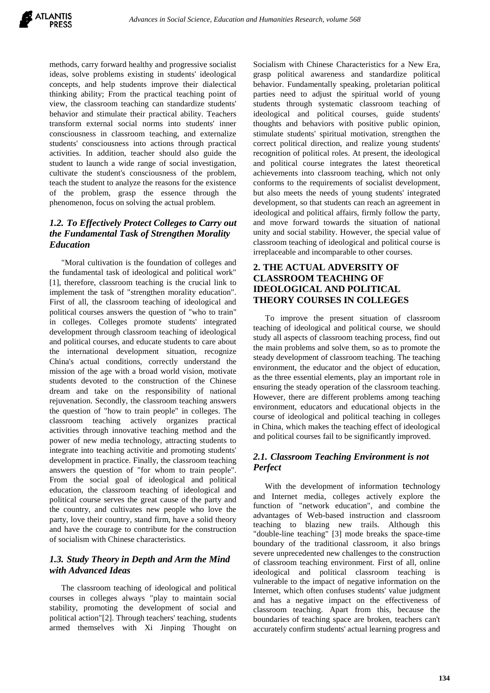methods, carry forward healthy and progressive socialist ideas, solve problems existing in students' ideological concepts, and help students improve their dialectical thinking ability; From the practical teaching point of view, the classroom teaching can standardize students' behavior and stimulate their practical ability. Teachers transform external social norms into students' inner consciousness in classroom teaching, and externalize students' consciousness into actions through practical activities. In addition, teacher should also guide the student to launch a wide range of social investigation, cultivate the student's consciousness of the problem, teach the student to analyze the reasons for the existence of the problem, grasp the essence through the phenomenon, focus on solving the actual problem.

# *1.2. To Effectively Protect Colleges to Carry out the Fundamental Task of Strengthen Morality Education*

"Moral cultivation is the foundation of colleges and the fundamental task of ideological and political work" [1], therefore, classroom teaching is the crucial link to implement the task of "strengthen morality education". First of all, the classroom teaching of ideological and political courses answers the question of "who to train" in colleges. Colleges promote students' integrated development through classroom teaching of ideological and political courses, and educate students to care about the international development situation, recognize China's actual conditions, correctly understand the mission of the age with a broad world vision, motivate students devoted to the construction of the Chinese dream and take on the responsibility of national rejuvenation. Secondly, the classroom teaching answers the question of "how to train people" in colleges. The classroom teaching actively organizes practical activities through innovative teaching method and the power of new media technology, attracting students to integrate into teaching activitie and promoting students' development in practice. Finally, the classroom teaching answers the question of "for whom to train people". From the social goal of ideological and political education, the classroom teaching of ideological and political course serves the great cause of the party and the country, and cultivates new people who love the party, love their country, stand firm, have a solid theory and have the courage to contribute for the construction of socialism with Chinese characteristics.

### *1.3. Study Theory in Depth and Arm the Mind with Advanced Ideas*

The classroom teaching of ideological and political courses in colleges always "play to maintain social stability, promoting the development of social and political action"[2]. Through teachers' teaching, students armed themselves with Xi Jinping Thought on Socialism with Chinese Characteristics for a New Era, grasp political awareness and standardize political behavior. Fundamentally speaking, proletarian political parties need to adjust the spiritual world of young students through systematic classroom teaching of ideological and political courses, guide students' thoughts and behaviors with positive public opinion, stimulate students' spiritual motivation, strengthen the correct political direction, and realize young students' recognition of political roles. At present, the ideological and political course integrates the latest theoretical achievements into classroom teaching, which not only conforms to the requirements of socialist development, but also meets the needs of young students' integrated development, so that students can reach an agreement in ideological and political affairs, firmly follow the party, and move forward towards the situation of national unity and social stability. However, the special value of classroom teaching of ideological and political course is irreplaceable and incomparable to other courses.

## **2. THE ACTUAL ADVERSITY OF CLASSROOM TEACHING OF IDEOLOGICAL AND POLITICAL THEORY COURSES IN COLLEGES**

To improve the present situation of classroom teaching of ideological and political course, we should study all aspects of classroom teaching process, find out the main problems and solve them, so as to promote the steady development of classroom teaching. The teaching environment, the educator and the object of education, as the three essential elements, play an important role in ensuring the steady operation of the classroom teaching. However, there are different problems among teaching environment, educators and educational objects in the course of ideological and political teaching in colleges in China, which makes the teaching effect of ideological and political courses fail to be significantly improved.

# *2.1. Classroom Teaching Environment is not Perfect*

With the development of information technology and Internet media, colleges actively explore the function of "network education", and combine the advantages of Web-based instruction and classroom teaching to blazing new trails. Although this "double-line teaching" [3] mode breaks the space-time boundary of the traditional classroom, it also brings severe unprecedented new challenges to the construction of classroom teaching environment. First of all, online ideological and political classroom teaching is vulnerable to the impact of negative information on the Internet, which often confuses students' value judgment and has a negative impact on the effectiveness of classroom teaching. Apart from this, because the boundaries of teaching space are broken, teachers can't accurately confirm students' actual learning progress and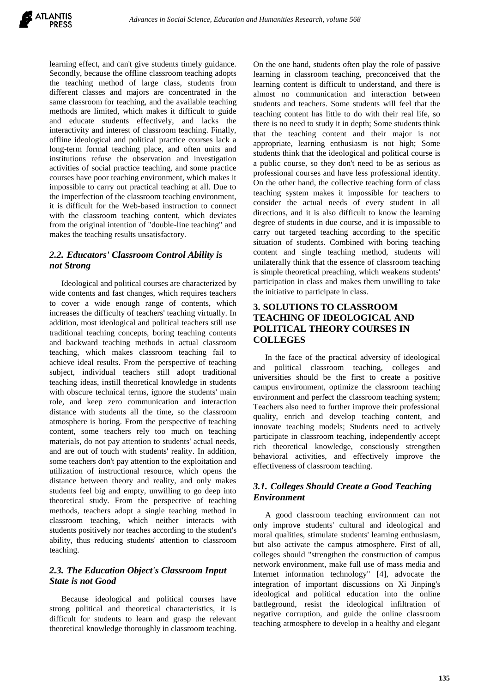learning effect, and can't give students timely guidance. Secondly, because the offline classroom teaching adopts the teaching method of large class, students from different classes and majors are concentrated in the same classroom for teaching, and the available teaching methods are limited, which makes it difficult to guide and educate students effectively, and lacks the interactivity and interest of classroom teaching. Finally, offline ideological and political practice courses lack a long-term formal teaching place, and often units and institutions refuse the observation and investigation activities of social practice teaching, and some practice courses have poor teaching environment, which makes it impossible to carry out practical teaching at all. Due to the imperfection of the classroom teaching environment, it is difficult for the Web-based instruction to connect with the classroom teaching content, which deviates from the original intention of "double-line teaching" and makes the teaching results unsatisfactory.

## *2.2. Educators' Classroom Control Ability is not Strong*

Ideological and political courses are characterized by wide contents and fast changes, which requires teachers to cover a wide enough range of contents, which increases the difficulty of teachers' teaching virtually. In addition, most ideological and political teachers still use traditional teaching concepts, boring teaching contents and backward teaching methods in actual classroom teaching, which makes classroom teaching fail to achieve ideal results. From the perspective of teaching subject, individual teachers still adopt traditional teaching ideas, instill theoretical knowledge in students with obscure technical terms, ignore the students' main role, and keep zero communication and interaction distance with students all the time, so the classroom atmosphere is boring. From the perspective of teaching content, some teachers rely too much on teaching materials, do not pay attention to students' actual needs, and are out of touch with students' reality. In addition, some teachers don't pay attention to the exploitation and utilization of instructional resource, which opens the distance between theory and reality, and only makes students feel big and empty, unwilling to go deep into theoretical study. From the perspective of teaching methods, teachers adopt a single teaching method in classroom teaching, which neither interacts with students positively nor teaches according to the student's ability, thus reducing students' attention to classroom teaching.

# *2.3. The Education Object's Classroom Input State is not Good*

Because ideological and political courses have strong political and theoretical characteristics, it is difficult for students to learn and grasp the relevant theoretical knowledge thoroughly in classroom teaching. On the one hand, students often play the role of passive learning in classroom teaching, preconceived that the learning content is difficult to understand, and there is almost no communication and interaction between students and teachers. Some students will feel that the teaching content has little to do with their real life, so there is no need to study it in depth; Some students think that the teaching content and their major is not appropriate, learning enthusiasm is not high; Some students think that the ideological and political course is a public course, so they don't need to be as serious as professional courses and have less professional identity. On the other hand, the collective teaching form of class teaching system makes it impossible for teachers to consider the actual needs of every student in all directions, and it is also difficult to know the learning degree of students in due course, and it is impossible to carry out targeted teaching according to the specific situation of students. Combined with boring teaching content and single teaching method, students will unilaterally think that the essence of classroom teaching is simple theoretical preaching, which weakens students' participation in class and makes them unwilling to take the initiative to participate in class.

# **3. SOLUTIONS TO CLASSROOM TEACHING OF IDEOLOGICAL AND POLITICAL THEORY COURSES IN COLLEGES**

In the face of the practical adversity of ideological and political classroom teaching, colleges and universities should be the first to create a positive campus environment, optimize the classroom teaching environment and perfect the classroom teaching system; Teachers also need to further improve their professional quality, enrich and develop teaching content, and innovate teaching models; Students need to actively participate in classroom teaching, independently accept rich theoretical knowledge, consciously strengthen behavioral activities, and effectively improve the effectiveness of classroom teaching.

# *3.1. Colleges Should Create a Good Teaching Environment*

A good classroom teaching environment can not only improve students' cultural and ideological and moral qualities, stimulate students' learning enthusiasm, but also activate the campus atmosphere. First of all, colleges should "strengthen the construction of campus network environment, make full use of mass media and Internet information technology" [4], advocate the integration of important discussions on Xi Jinping's ideological and political education into the online battleground, resist the ideological infiltration of negative corruption, and guide the online classroom teaching atmosphere to develop in a healthy and elegant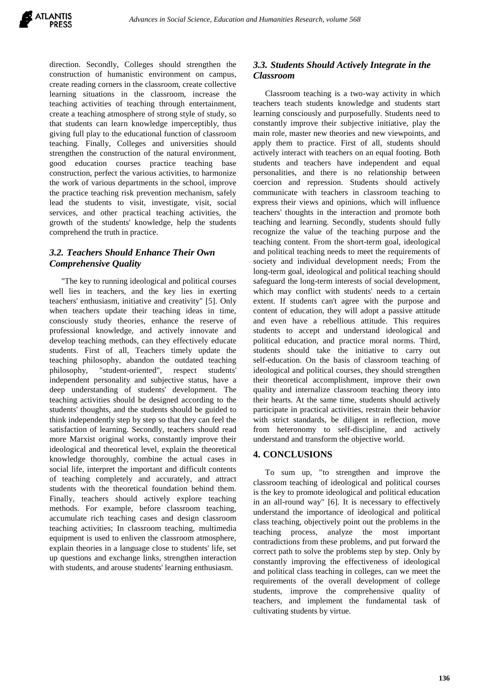direction. Secondly, Colleges should strengthen the construction of humanistic environment on campus, create reading corners in the classroom, create collective learning situations in the classroom, increase the teaching activities of teaching through entertainment, create a teaching atmosphere of strong style of study, so that students can learn knowledge imperceptibly, thus giving full play to the educational function of classroom teaching. Finally, Colleges and universities should strengthen the construction of the natural environment, good education courses practice teaching base construction, perfect the various activities, to harmonize the work of various departments in the school, improve the practice teaching risk prevention mechanism, safely lead the students to visit, investigate, visit, social services, and other practical teaching activities, the growth of the students' knowledge, help the students comprehend the truth in practice.

# *3.2. Teachers Should Enhance Their Own Comprehensive Quality*

"The key to running ideological and political courses well lies in teachers, and the key lies in exerting teachers' enthusiasm, initiative and creativity" [5]. Only when teachers update their teaching ideas in time, consciously study theories, enhance the reserve of professional knowledge, and actively innovate and develop teaching methods, can they effectively educate students. First of all, Teachers timely update the teaching philosophy, abandon the outdated teaching philosophy, "student-oriented", respect students' independent personality and subjective status, have a deep understanding of students' development. The teaching activities should be designed according to the students' thoughts, and the students should be guided to think independently step by step so that they can feel the satisfaction of learning. Secondly, teachers should read more Marxist original works, constantly improve their ideological and theoretical level, explain the theoretical knowledge thoroughly, combine the actual cases in social life, interpret the important and difficult contents of teaching completely and accurately, and attract students with the theoretical foundation behind them. Finally, teachers should actively explore teaching methods. For example, before classroom teaching, accumulate rich teaching cases and design classroom teaching activities; In classroom teaching, multimedia equipment is used to enliven the classroom atmosphere, explain theories in a language close to students' life, set up questions and exchange links, strengthen interaction with students, and arouse students' learning enthusiasm.

# *3.3. Students Should Actively Integrate in the Classroom*

Classroom teaching is a two-way activity in which teachers teach students knowledge and students start learning consciously and purposefully. Students need to constantly improve their subjective initiative, play the main role, master new theories and new viewpoints, and apply them to practice. First of all, students should actively interact with teachers on an equal footing. Both students and teachers have independent and equal personalities, and there is no relationship between coercion and repression. Students should actively communicate with teachers in classroom teaching to express their views and opinions, which will influence teachers' thoughts in the interaction and promote both teaching and learning. Secondly, students should fully recognize the value of the teaching purpose and the teaching content. From the short-term goal, ideological and political teaching needs to meet the requirements of society and individual development needs; From the long-term goal, ideological and political teaching should safeguard the long-term interests of social development, which may conflict with students' needs to a certain extent. If students can't agree with the purpose and content of education, they will adopt a passive attitude and even have a rebellious attitude. This requires students to accept and understand ideological and political education, and practice moral norms. Third, students should take the initiative to carry out self-education. On the basis of classroom teaching of ideological and political courses, they should strengthen their theoretical accomplishment, improve their own quality and internalize classroom teaching theory into their hearts. At the same time, students should actively participate in practical activities, restrain their behavior with strict standards, be diligent in reflection, move from heteronomy to self-discipline, and actively understand and transform the objective world.

# **4. CONCLUSIONS**

To sum up, "to strengthen and improve the classroom teaching of ideological and political courses is the key to promote ideological and political education in an all-round way" [6]. It is necessary to effectively understand the importance of ideological and political class teaching, objectively point out the problems in the teaching process, analyze the most important contradictions from these problems, and put forward the correct path to solve the problems step by step. Only by constantly improving the effectiveness of ideological and political class teaching in colleges, can we meet the requirements of the overall development of college students, improve the comprehensive quality of teachers, and implement the fundamental task of cultivating students by virtue.